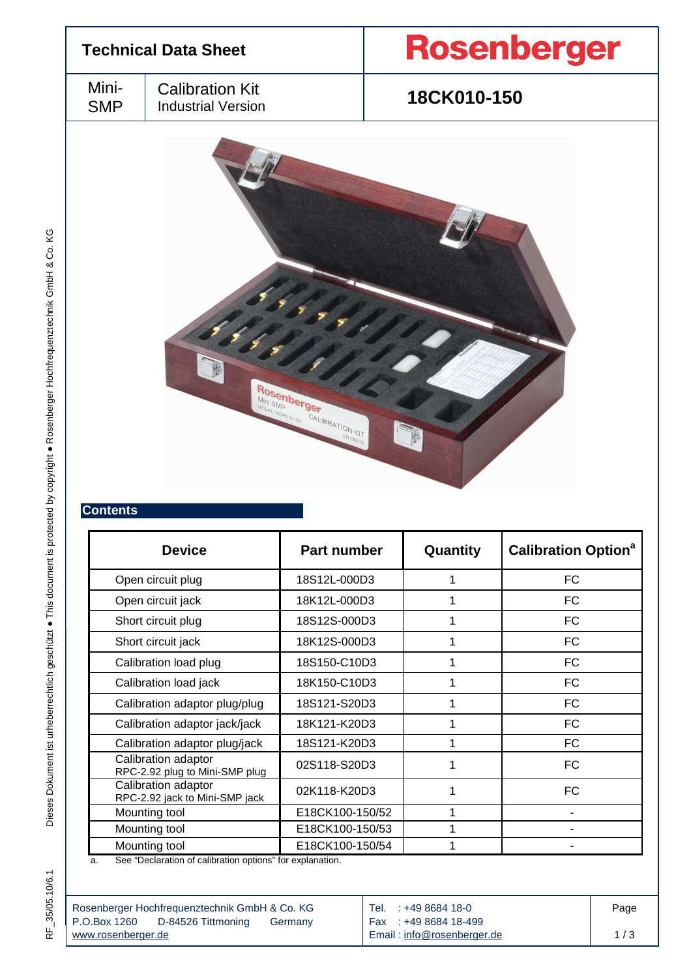

| <b>Device</b>                                         | <b>Part number</b> | Quantity | <b>Calibration Option<sup>a</sup></b> |
|-------------------------------------------------------|--------------------|----------|---------------------------------------|
| Open circuit plug                                     | 18S12L-000D3       |          | <b>FC</b>                             |
| Open circuit jack                                     | 18K12L-000D3       |          | FC                                    |
| Short circuit plug                                    | 18S12S-000D3       |          | FC.                                   |
| Short circuit jack                                    | 18K12S-000D3       |          | FC.                                   |
| Calibration load plug                                 | 18S150-C10D3       |          | FC                                    |
| Calibration load jack                                 | 18K150-C10D3       |          | FC.                                   |
| Calibration adaptor plug/plug                         | 18S121-S20D3       |          | FC                                    |
| Calibration adaptor jack/jack                         | 18K121-K20D3       |          | FC                                    |
| Calibration adaptor plug/jack                         | 18S121-K20D3       |          | <b>FC</b>                             |
| Calibration adaptor<br>RPC-2.92 plug to Mini-SMP plug | 02S118-S20D3       |          | FC                                    |
| Calibration adaptor<br>RPC-2.92 jack to Mini-SMP jack | 02K118-K20D3       |          | <b>FC</b>                             |
| Mounting tool                                         | E18CK100-150/52    |          |                                       |
| Mounting tool                                         | E18CK100-150/53    |          |                                       |
| Mounting tool                                         | E18CK100-150/54    |          |                                       |

a. See "Declaration of calibration options" for explanation.

| Rosenberger Hochfrequenztechnik GmbH & Co. KG                    | Tel. : +49 8684 18-0                               | Page |
|------------------------------------------------------------------|----------------------------------------------------|------|
| P.O.Box 1260 D-84526 Tittmoning<br>Germany<br>www.rosenberger.de | Fax: +49 8684 18-499<br>Email: info@rosenberger.de | 1/3  |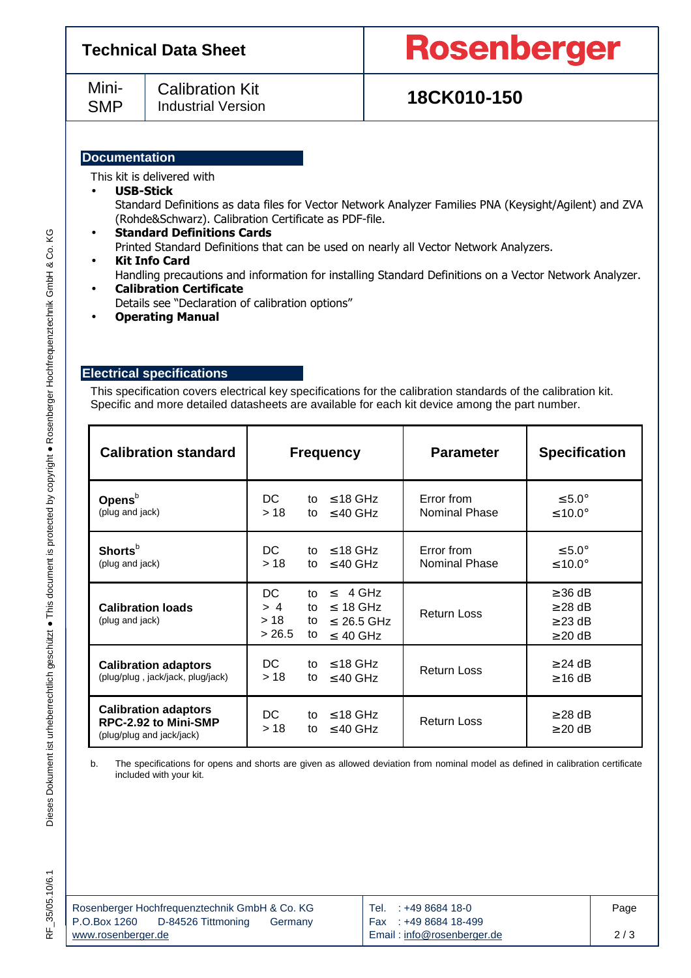| <b>Technical Data Sheet</b>                                                |                                                       | <b>Rosenberger</b>                                                                                     |
|----------------------------------------------------------------------------|-------------------------------------------------------|--------------------------------------------------------------------------------------------------------|
| Mini-<br><b>Calibration Kit</b><br><b>SMP</b><br><b>Industrial Version</b> |                                                       | 18CK010-150                                                                                            |
| <b>Documentation</b>                                                       |                                                       |                                                                                                        |
|                                                                            | This kit is delivered with                            |                                                                                                        |
| $\bullet$                                                                  | <b>USB-Stick</b>                                      |                                                                                                        |
|                                                                            |                                                       | Standard Definitions as data files for Vector Network Analyzer Families PNA (Keysight/Agilent) and ZVA |
|                                                                            | (Rohde&Schwarz). Calibration Certificate as PDF-file. |                                                                                                        |
| $\bullet$                                                                  | <b>Standard Definitions Cards</b>                     |                                                                                                        |
|                                                                            |                                                       | Printed Standard Definitions that can be used on nearly all Vector Network Analyzers.                  |

- **Kit Info Card** Handling precautions and information for installing Standard Definitions on a Vector Network Analyzer.
- **Calibration Certificate**  Details see "Declaration of calibration options"
- **Operating Manual**

## **Electrical specifications**

This specification covers electrical key specifications for the calibration standards of the calibration kit. Specific and more detailed datasheets are available for each kit device among the part number.

| <b>Calibration standard</b>                                                      |                             | <b>Frequency</b>                                                                          | <b>Parameter</b>                   | <b>Specification</b>                                         |
|----------------------------------------------------------------------------------|-----------------------------|-------------------------------------------------------------------------------------------|------------------------------------|--------------------------------------------------------------|
| Opens $b$<br>(plug and jack)                                                     | DC.<br>> 18                 | $\leq$ 18 GHz<br>to<br>$\leq$ 40 GHz<br>to                                                | Error from<br><b>Nominal Phase</b> | $\leq 5.0^\circ$<br>≤ 10.0°                                  |
| Shorts <sup>b</sup><br>(plug and jack)                                           | DC.<br>> 18                 | $\leq$ 18 GHz<br>to<br>to<br>$\leq$ 40 GHz                                                | Error from<br><b>Nominal Phase</b> | $\leq 5.0^\circ$<br>≤ 10.0°                                  |
| <b>Calibration loads</b><br>(plug and jack)                                      | DC<br>> 4<br>> 18<br>> 26.5 | $\leq$ 4 GHz<br>to<br>$\leq 18$ GHz<br>to<br>$\leq 26.5$ GHz<br>to<br>to<br>$\leq 40$ GHz | <b>Return Loss</b>                 | $\geq$ 36 dB<br>$\geq$ 28 dB<br>$\geq$ 23 dB<br>$\geq$ 20 dB |
| <b>Calibration adaptors</b><br>(plug/plug, jack/jack, plug/jack)                 | DC.<br>>18                  | $\leq$ 18 GHz<br>to<br>$\leq$ 40 GHz<br>to                                                | <b>Return Loss</b>                 | $\geq$ 24 dB<br>$\geq$ 16 dB                                 |
| <b>Calibration adaptors</b><br>RPC-2.92 to Mini-SMP<br>(plug/plug and jack/jack) | DC.<br>>18                  | $\leq$ 18 GHz<br>to<br>$\leq$ 40 GHz<br>to                                                | <b>Return Loss</b>                 | $\geq$ 28 dB<br>$\geq$ 20 dB                                 |

b. The specifications for opens and shorts are given as allowed deviation from nominal model as defined in calibration certificate included with your kit.

| Rosenberger Hochfrequenztechnik GmbH & Co. KG |                    |         |  |  |  |  |  |
|-----------------------------------------------|--------------------|---------|--|--|--|--|--|
| P.O.Box 1260                                  | D-84526 Tittmoning | Germany |  |  |  |  |  |
| www.rosenberger.de                            |                    |         |  |  |  |  |  |

Tel. : +49 8684 18-0 Fax : +49 8684 18-499 Email : info@rosenberger.de